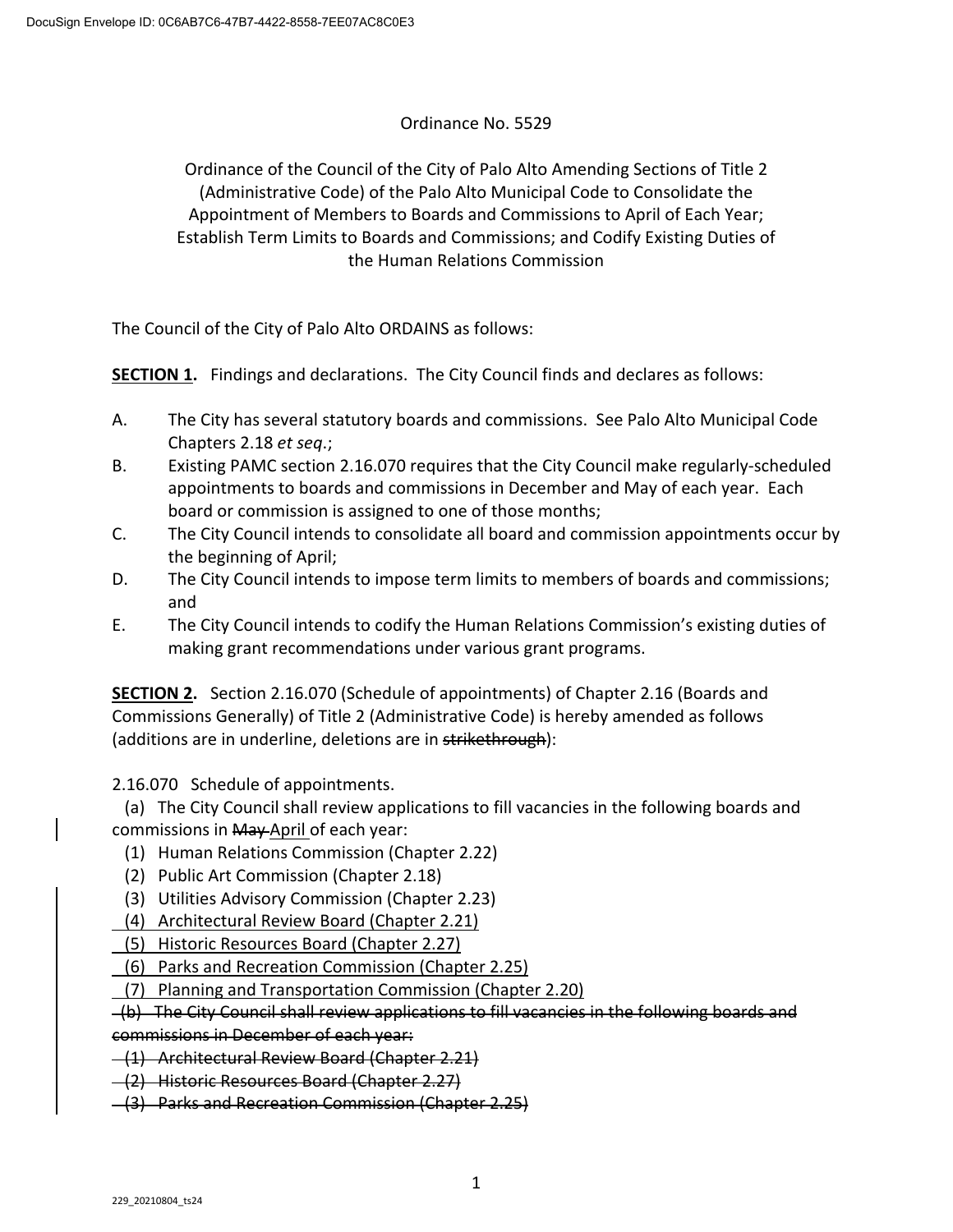# Ordinance No. 5529

Ordinance of the Council of the City of Palo Alto Amending Sections of Title 2 (Administrative Code) of the Palo Alto Municipal Code to Consolidate the Appointment of Members to Boards and Commissions to April of Each Year; Establish Term Limits to Boards and Commissions; and Codify Existing Duties of the Human Relations Commission

The Council of the City of Palo Alto ORDAINS as follows:

**SECTION 1.** Findings and declarations. The City Council finds and declares as follows:

- A. The City has several statutory boards and commissions. See Palo Alto Municipal Code Chapters 2.18 *et seq*.;
- B. Existing PAMC section 2.16.070 requires that the City Council make regularly-scheduled appointments to boards and commissions in December and May of each year. Each board or commission is assigned to one of those months;
- C. The City Council intends to consolidate all board and commission appointments occur by the beginning of April;
- D. The City Council intends to impose term limits to members of boards and commissions; and
- E. The City Council intends to codify the Human Relations Commission's existing duties of making grant recommendations under various grant programs.

**SECTION 2.** Section 2.16.070 (Schedule of appointments) of Chapter 2.16 (Boards and Commissions Generally) of Title 2 (Administrative Code) is hereby amended as follows (additions are in underline, deletions are in strikethrough):

2.16.070 Schedule of appointments.

 (a) The City Council shall review applications to fill vacancies in the following boards and commissions in May-April of each year:

- (1) Human Relations Commission (Chapter 2.22)
- (2) Public Art Commission (Chapter 2.18)
- (3) Utilities Advisory Commission (Chapter 2.23)
- (4) Architectural Review Board (Chapter 2.21)
- (5) Historic Resources Board (Chapter 2.27)
- (6) Parks and Recreation Commission (Chapter 2.25)
- (7) Planning and Transportation Commission (Chapter 2.20)

 (b) The City Council shall review applications to fill vacancies in the following boards and commissions in December of each year:

(1) Architectural Review Board (Chapter 2.21)

(2) Historic Resources Board (Chapter 2.27)

(3) Parks and Recreation Commission (Chapter 2.25)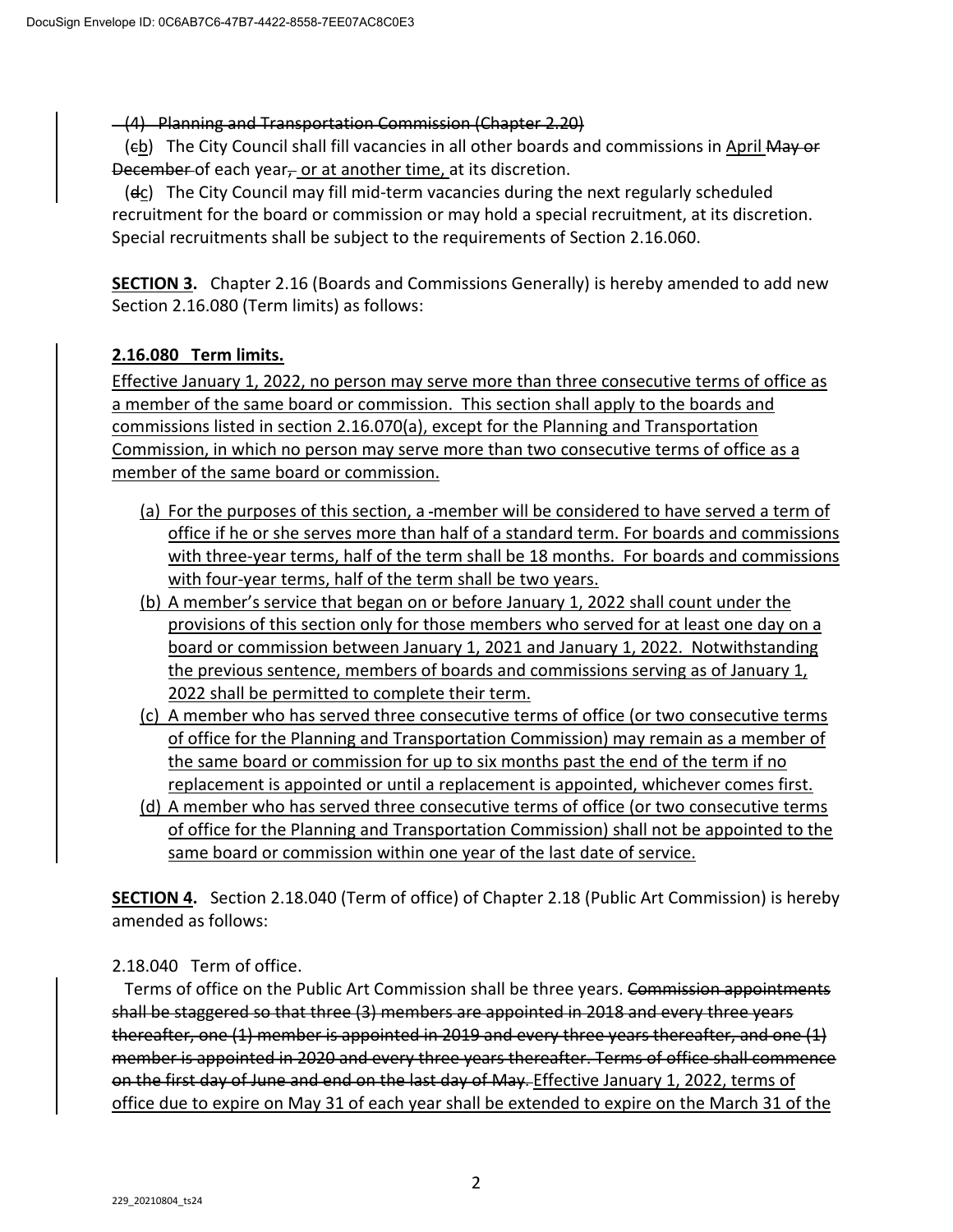(4) Planning and Transportation Commission (Chapter 2.20)

(eb) The City Council shall fill vacancies in all other boards and commissions in April May or December of each year $<sub>r</sub>$  or at another time, at its discretion.</sub>

 (dc) The City Council may fill mid-term vacancies during the next regularly scheduled recruitment for the board or commission or may hold a special recruitment, at its discretion. Special recruitments shall be subject to the requirements of Section 2.16.060.

**SECTION 3.** Chapter 2.16 (Boards and Commissions Generally) is hereby amended to add new Section 2.16.080 (Term limits) as follows:

# **2.16.080 Term limits.**

Effective January 1, 2022, no person may serve more than three consecutive terms of office as a member of the same board or commission. This section shall apply to the boards and commissions listed in section 2.16.070(a), except for the Planning and Transportation Commission, in which no person may serve more than two consecutive terms of office as a member of the same board or commission.

- (a) For the purposes of this section, a -member will be considered to have served a term of office if he or she serves more than half of a standard term. For boards and commissions with three-year terms, half of the term shall be 18 months. For boards and commissions with four-year terms, half of the term shall be two years.
- (b) A member's service that began on or before January 1, 2022 shall count under the provisions of this section only for those members who served for at least one day on a board or commission between January 1, 2021 and January 1, 2022. Notwithstanding the previous sentence, members of boards and commissions serving as of January 1, 2022 shall be permitted to complete their term.
- (c) A member who has served three consecutive terms of office (or two consecutive terms of office for the Planning and Transportation Commission) may remain as a member of the same board or commission for up to six months past the end of the term if no replacement is appointed or until a replacement is appointed, whichever comes first.
- (d) A member who has served three consecutive terms of office (or two consecutive terms of office for the Planning and Transportation Commission) shall not be appointed to the same board or commission within one year of the last date of service.

**SECTION 4.** Section 2.18.040 (Term of office) of Chapter 2.18 (Public Art Commission) is hereby amended as follows:

2.18.040 Term of office.

Terms of office on the Public Art Commission shall be three years. Commission appointments shall be staggered so that three (3) members are appointed in 2018 and every three years thereafter, one (1) member is appointed in 2019 and every three years thereafter, and one (1) member is appointed in 2020 and every three years thereafter. Terms of office shall commence on the first day of June and end on the last day of May. Effective January 1, 2022, terms of office due to expire on May 31 of each year shall be extended to expire on the March 31 of the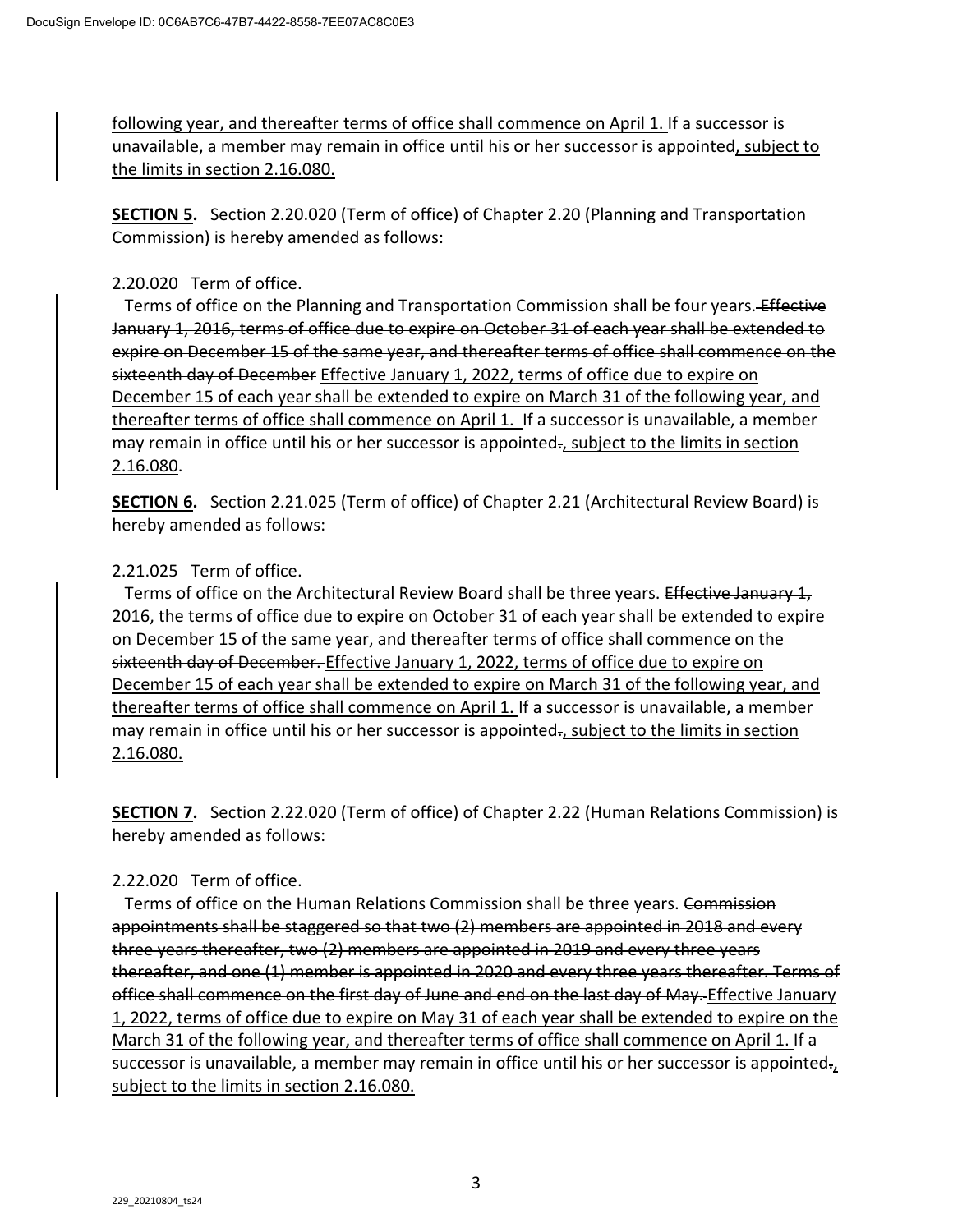following year, and thereafter terms of office shall commence on April 1. If a successor is unavailable, a member may remain in office until his or her successor is appointed, subject to the limits in section 2.16.080.

**SECTION 5.** Section 2.20.020 (Term of office) of Chapter 2.20 (Planning and Transportation Commission) is hereby amended as follows:

# 2.20.020 Term of office.

Terms of office on the Planning and Transportation Commission shall be four years. Effective January 1, 2016, terms of office due to expire on October 31 of each year shall be extended to expire on December 15 of the same year, and thereafter terms of office shall commence on the sixteenth day of December Effective January 1, 2022, terms of office due to expire on December 15 of each year shall be extended to expire on March 31 of the following year, and thereafter terms of office shall commence on April 1. If a successor is unavailable, a member may remain in office until his or her successor is appointed-, subject to the limits in section 2.16.080.

**SECTION 6.** Section 2.21.025 (Term of office) of Chapter 2.21 (Architectural Review Board) is hereby amended as follows:

# 2.21.025 Term of office.

Terms of office on the Architectural Review Board shall be three years. Effective January 1, 2016, the terms of office due to expire on October 31 of each year shall be extended to expire on December 15 of the same year, and thereafter terms of office shall commence on the sixteenth day of December. Effective January 1, 2022, terms of office due to expire on December 15 of each year shall be extended to expire on March 31 of the following year, and thereafter terms of office shall commence on April 1. If a successor is unavailable, a member may remain in office until his or her successor is appointed-, subject to the limits in section 2.16.080.

**SECTION 7.** Section 2.22.020 (Term of office) of Chapter 2.22 (Human Relations Commission) is hereby amended as follows:

# 2.22.020 Term of office.

Terms of office on the Human Relations Commission shall be three years. Commission appointments shall be staggered so that two (2) members are appointed in 2018 and every three years thereafter, two (2) members are appointed in 2019 and every three years thereafter, and one (1) member is appointed in 2020 and every three years thereafter. Terms of office shall commence on the first day of June and end on the last day of May. Effective January 1, 2022, terms of office due to expire on May 31 of each year shall be extended to expire on the March 31 of the following year, and thereafter terms of office shall commence on April 1. If a successor is unavailable, a member may remain in office until his or her successor is appointed., subject to the limits in section 2.16.080.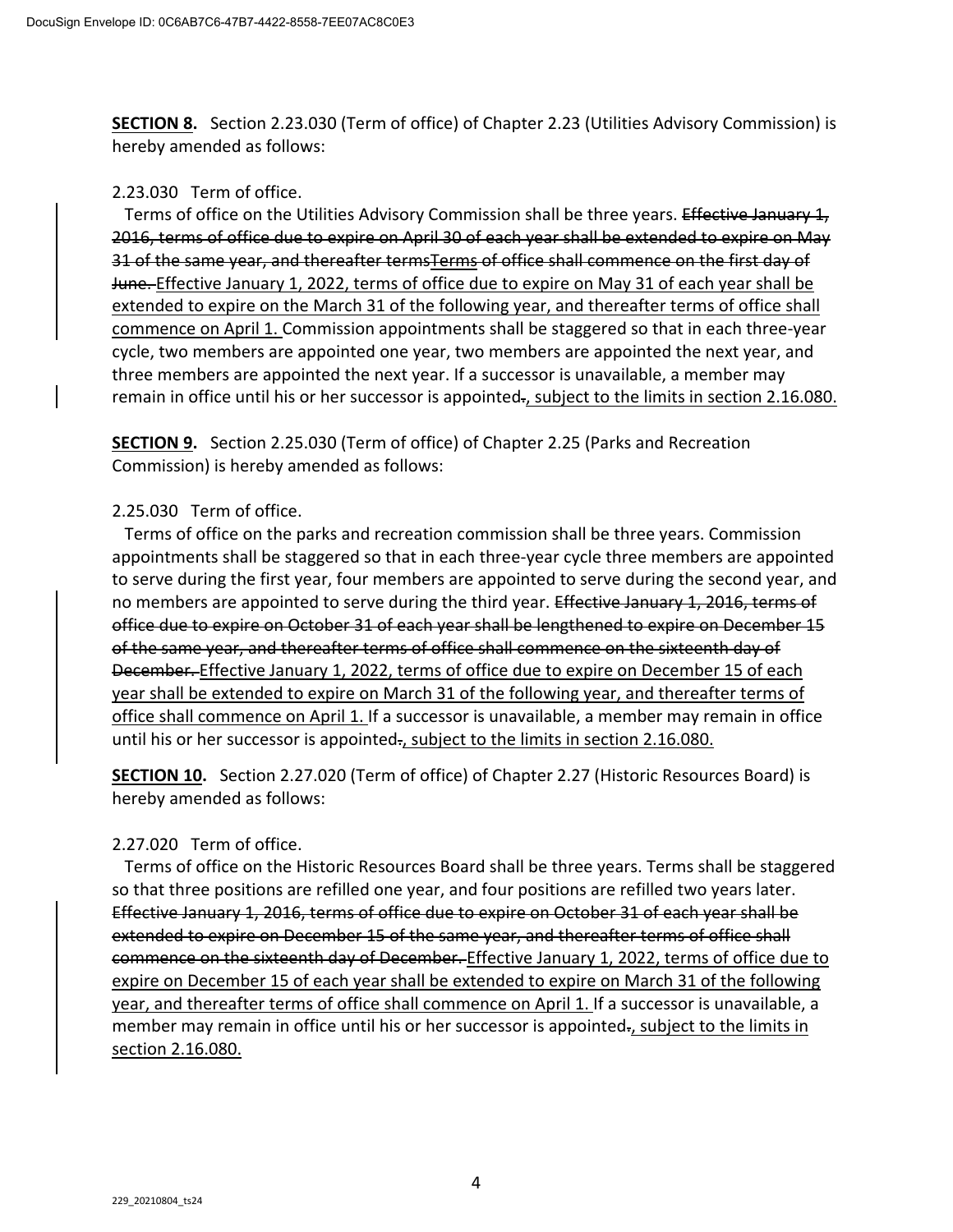**SECTION 8.** Section 2.23.030 (Term of office) of Chapter 2.23 (Utilities Advisory Commission) is hereby amended as follows:

# 2.23.030 Term of office.

Terms of office on the Utilities Advisory Commission shall be three years. Effective January 1, 2016, terms of office due to expire on April 30 of each year shall be extended to expire on May 31 of the same year, and thereafter termsTerms of office shall commence on the first day of June. Effective January 1, 2022, terms of office due to expire on May 31 of each year shall be extended to expire on the March 31 of the following year, and thereafter terms of office shall commence on April 1. Commission appointments shall be staggered so that in each three-year cycle, two members are appointed one year, two members are appointed the next year, and three members are appointed the next year. If a successor is unavailable, a member may remain in office until his or her successor is appointed-, subject to the limits in section 2.16.080.

**SECTION 9.** Section 2.25.030 (Term of office) of Chapter 2.25 (Parks and Recreation Commission) is hereby amended as follows:

# 2.25.030 Term of office.

 Terms of office on the parks and recreation commission shall be three years. Commission appointments shall be staggered so that in each three-year cycle three members are appointed to serve during the first year, four members are appointed to serve during the second year, and no members are appointed to serve during the third year. Effective January 1, 2016, terms of office due to expire on October 31 of each year shall be lengthened to expire on December 15 of the same year, and thereafter terms of office shall commence on the sixteenth day of December. Effective January 1, 2022, terms of office due to expire on December 15 of each year shall be extended to expire on March 31 of the following year, and thereafter terms of office shall commence on April 1. If a successor is unavailable, a member may remain in office until his or her successor is appointed-, subject to the limits in section 2.16.080.

**SECTION 10.** Section 2.27.020 (Term of office) of Chapter 2.27 (Historic Resources Board) is hereby amended as follows:

# 2.27.020 Term of office.

 Terms of office on the Historic Resources Board shall be three years. Terms shall be staggered so that three positions are refilled one year, and four positions are refilled two years later. Effective January 1, 2016, terms of office due to expire on October 31 of each year shall be extended to expire on December 15 of the same year, and thereafter terms of office shall commence on the sixteenth day of December. Effective January 1, 2022, terms of office due to expire on December 15 of each year shall be extended to expire on March 31 of the following year, and thereafter terms of office shall commence on April 1. If a successor is unavailable, a member may remain in office until his or her successor is appointed-, subject to the limits in section 2.16.080.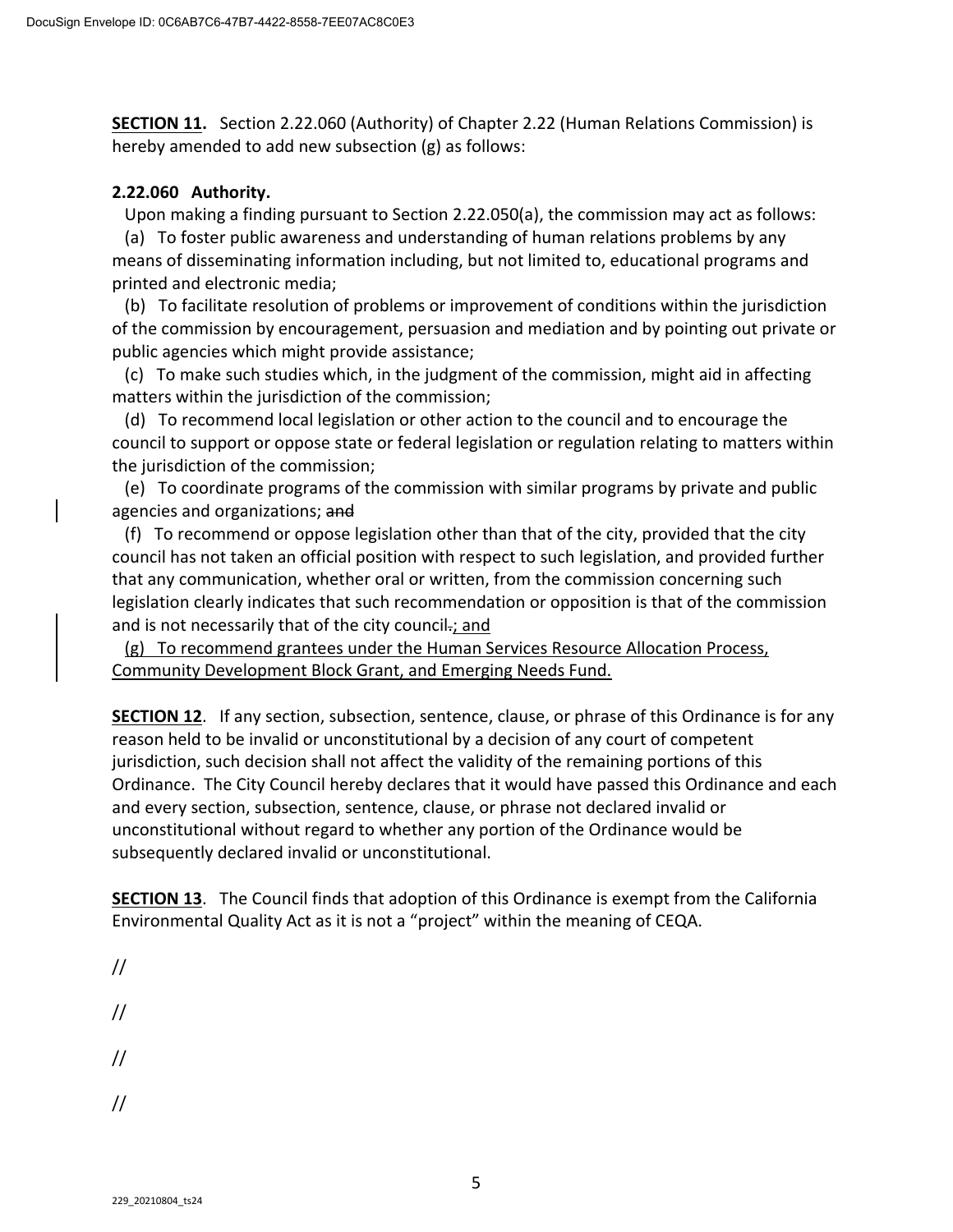**SECTION 11.** Section 2.22.060 (Authority) of Chapter 2.22 (Human Relations Commission) is hereby amended to add new subsection (g) as follows:

# **2.22.060 Authority.**

Upon making a finding pursuant to Section 2.22.050(a), the commission may act as follows:

 (a) To foster public awareness and understanding of human relations problems by any means of disseminating information including, but not limited to, educational programs and printed and electronic media;

 (b) To facilitate resolution of problems or improvement of conditions within the jurisdiction of the commission by encouragement, persuasion and mediation and by pointing out private or public agencies which might provide assistance;

 (c) To make such studies which, in the judgment of the commission, might aid in affecting matters within the jurisdiction of the commission;

 (d) To recommend local legislation or other action to the council and to encourage the council to support or oppose state or federal legislation or regulation relating to matters within the jurisdiction of the commission;

 (e) To coordinate programs of the commission with similar programs by private and public agencies and organizations; and

 (f) To recommend or oppose legislation other than that of the city, provided that the city council has not taken an official position with respect to such legislation, and provided further that any communication, whether oral or written, from the commission concerning such legislation clearly indicates that such recommendation or opposition is that of the commission and is not necessarily that of the city council-; and

 (g) To recommend grantees under the Human Services Resource Allocation Process, Community Development Block Grant, and Emerging Needs Fund.

**SECTION 12**. If any section, subsection, sentence, clause, or phrase of this Ordinance is for any reason held to be invalid or unconstitutional by a decision of any court of competent jurisdiction, such decision shall not affect the validity of the remaining portions of this Ordinance. The City Council hereby declares that it would have passed this Ordinance and each and every section, subsection, sentence, clause, or phrase not declared invalid or unconstitutional without regard to whether any portion of the Ordinance would be subsequently declared invalid or unconstitutional.

**SECTION 13**. The Council finds that adoption of this Ordinance is exempt from the California Environmental Quality Act as it is not a "project" within the meaning of CEQA.

// // // //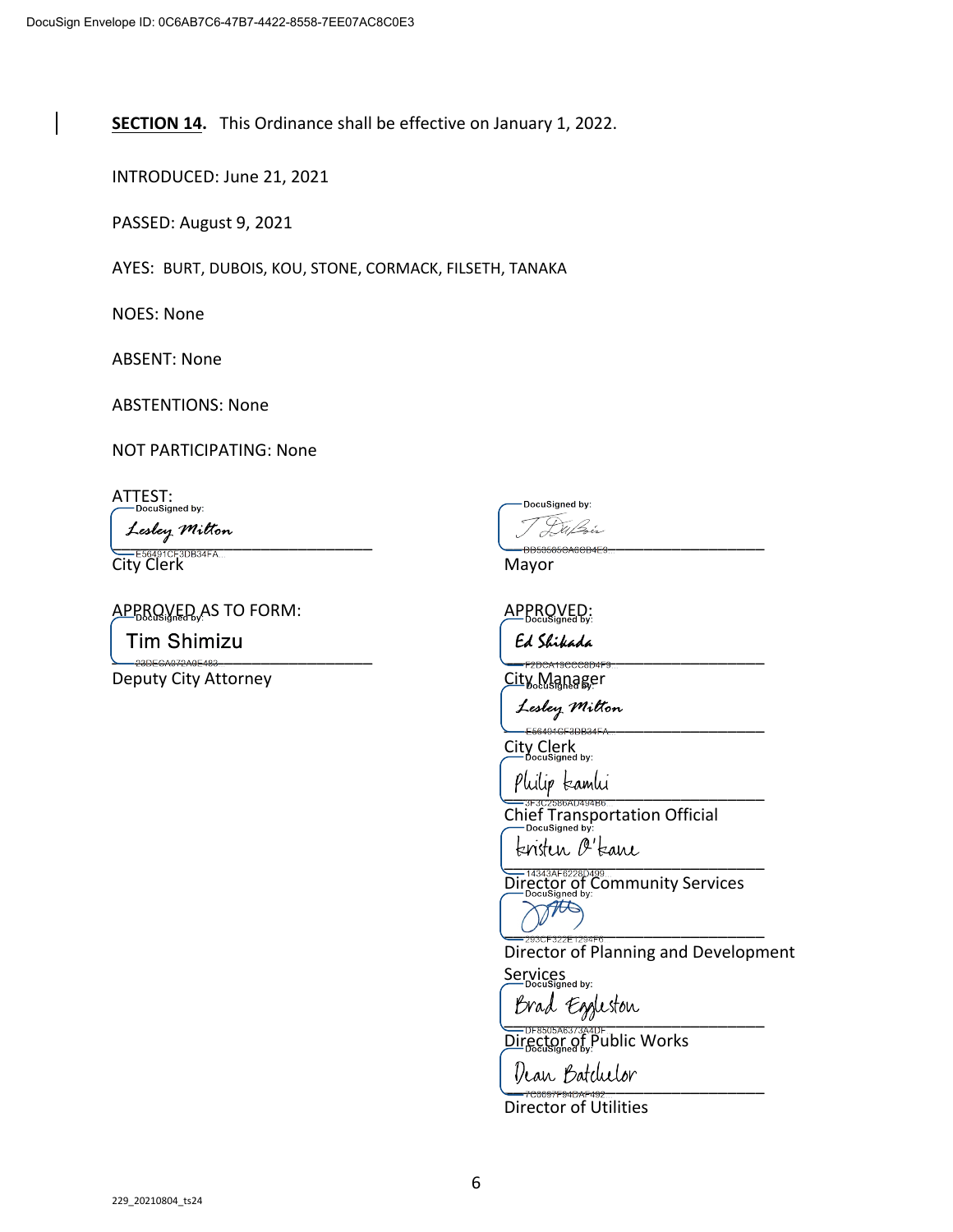**SECTION 14.** This Ordinance shall be effective on January 1, 2022.

INTRODUCED: June 21, 2021

PASSED: August 9, 2021

AYES: BURT, DUBOIS, KOU, STONE, CORMACK, FILSETH, TANAKA

NOES: None

ABSENT: None

ABSTENTIONS: None

NOT PARTICIPATING: None

ATTEST:<br>
CDDocuSigned by:

 $\overbrace{p_{\text{RASREACARCR}}^{p_{\text{RASREACARCR}}}}$ with the season of the contract of the contract of the contract of the contract of the contract of the contract of the contract of the contract of the contract of the contract of the contract of the contract of the contrac

APPROVED AS TO FORM: APPROVED:

\_\_\_\_\_\_\_\_\_\_\_\_\_\_\_\_\_\_\_\_\_\_\_\_\_\_\_\_ \_\_\_\_\_\_\_\_\_\_\_\_\_\_\_\_\_\_\_\_\_\_\_\_\_\_\_\_

Deputy City Attorney and the City Manager

DocuSigned by:

\_\_\_\_\_\_\_\_\_\_\_\_\_\_\_\_\_\_\_\_\_\_\_\_\_\_\_\_

City Clerk<br>City Clerk

philip kamhi

Chief Transportation Official

 $\overline{C}$ 

Director of Community Services Ato

\_\_\_\_\_\_\_\_\_\_\_\_\_\_\_\_\_\_\_\_\_\_\_\_\_\_\_\_ Director of Planning and Development

Services

Brad Eggleston

Director of Public Works Dean Batchelor

Director of Utilities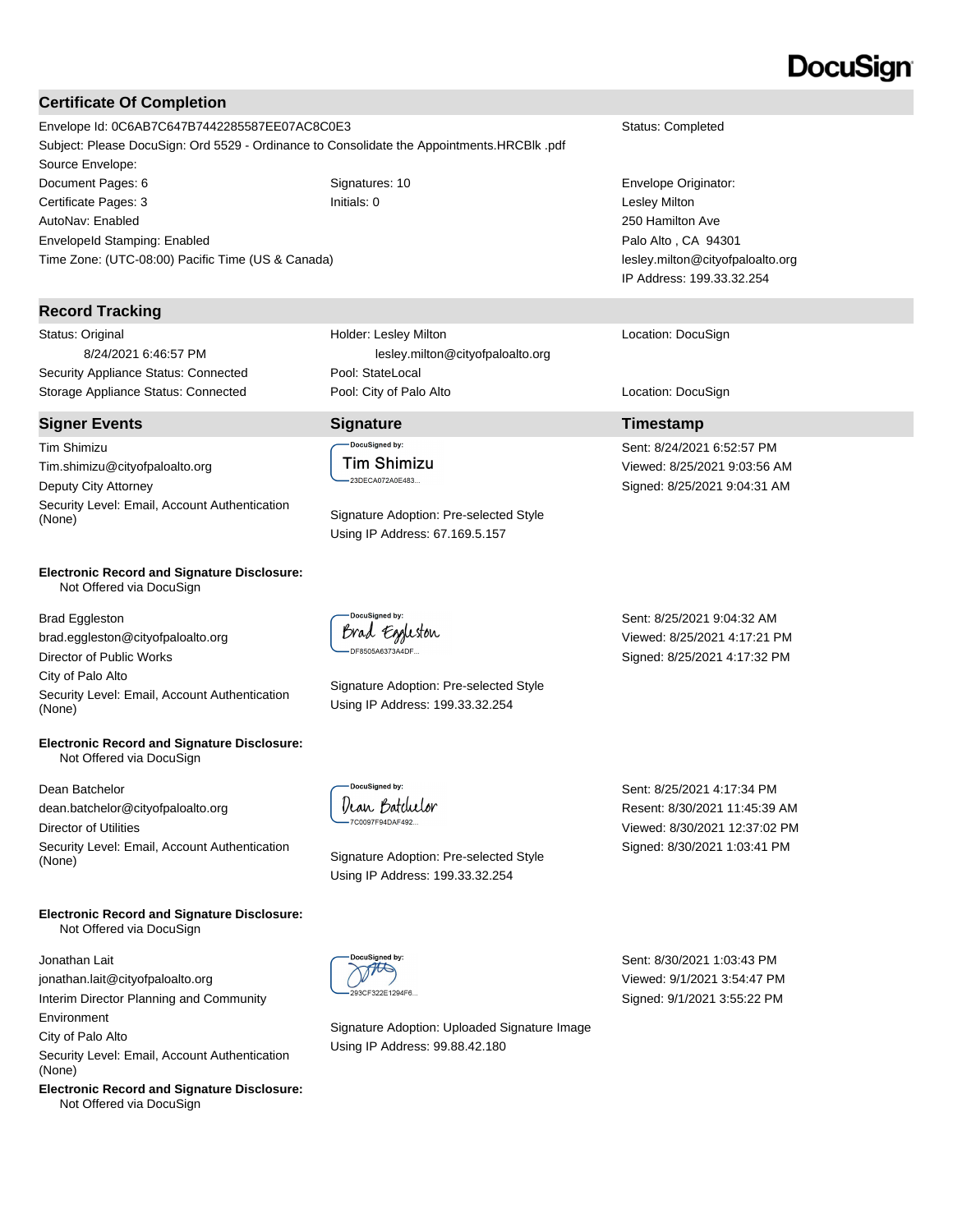# **Certificate Of Completion**

Envelope Id: 0C6AB7C647B7442285587EE07AC8C0E3 Status: Completed Subject: Please DocuSign: Ord 5529 - Ordinance to Consolidate the Appointments.HRCBlk .pdf Source Envelope: Document Pages: 6 Signatures: 10 Signatures: 10 Envelope Originator: Certificate Pages: 3 Initials: 0 Lesley Milton AutoNav: Enabled EnvelopeId Stamping: Enabled

# **Record Tracking**

Status: Original 8/24/2021 6:46:57 PM Security Appliance Status: Connected Pool: StateLocal

Time Zone: (UTC-08:00) Pacific Time (US & Canada)

### **Signer Events Signature Timestamp**

Tim Shimizu Tim.shimizu@cityofpaloalto.org Deputy City Attorney Security Level: Email, Account Authentication (None) Signature Adoption: Pre-selected Style

#### **Electronic Record and Signature Disclosure:**  Not Offered via DocuSign

Brad Eggleston brad.eggleston@cityofpaloalto.org Director of Public Works City of Palo Alto Security Level: Email, Account Authentication (None)

#### **Electronic Record and Signature Disclosure:**  Not Offered via DocuSign

Dean Batchelor dean.batchelor@cityofpaloalto.org Director of Utilities Security Level: Email, Account Authentication (None) Signature Adoption: Pre-selected Style

#### **Electronic Record and Signature Disclosure:**  Not Offered via DocuSign

Jonathan Lait jonathan.lait@cityofpaloalto.org

Interim Director Planning and Community Environment

City of Palo Alto

Security Level: Email, Account Authentication (None)

**Electronic Record and Signature Disclosure:**  Not Offered via DocuSign

Holder: Lesley Milton lesley.milton@cityofpaloalto.org Storage Appliance Status: Connected **Pool: City of Palo Alto** Location: DocuSign Location: DocuSign

DocuSianed by: **Tim Shimizu** 23DECA072A0E483...

Using IP Address: 67.169.5.157



Signature Adoption: Pre-selected Style Using IP Address: 199.33.32.254

Sent: 8/25/2021 9:04:32 AM Viewed: 8/25/2021 4:17:21 PM Signed: 8/25/2021 4:17:32 PM

DocuSianed by Dean Batcluetor 7C0097F94DAF492...

Using IP Address: 199.33.32.254

Sent: 8/25/2021 4:17:34 PM Resent: 8/30/2021 11:45:39 AM Viewed: 8/30/2021 12:37:02 PM Signed: 8/30/2021 1:03:41 PM

THIS 3CF322F1294F6

Signature Adoption: Uploaded Signature Image Using IP Address: 99.88.42.180

Sent: 8/30/2021 1:03:43 PM Viewed: 9/1/2021 3:54:47 PM Signed: 9/1/2021 3:55:22 PM

# DocuSian

250 Hamilton Ave Palo Alto , CA 94301 lesley.milton@cityofpaloalto.org IP Address: 199.33.32.254

Location: DocuSign

Sent: 8/24/2021 6:52:57 PM Viewed: 8/25/2021 9:03:56 AM Signed: 8/25/2021 9:04:31 AM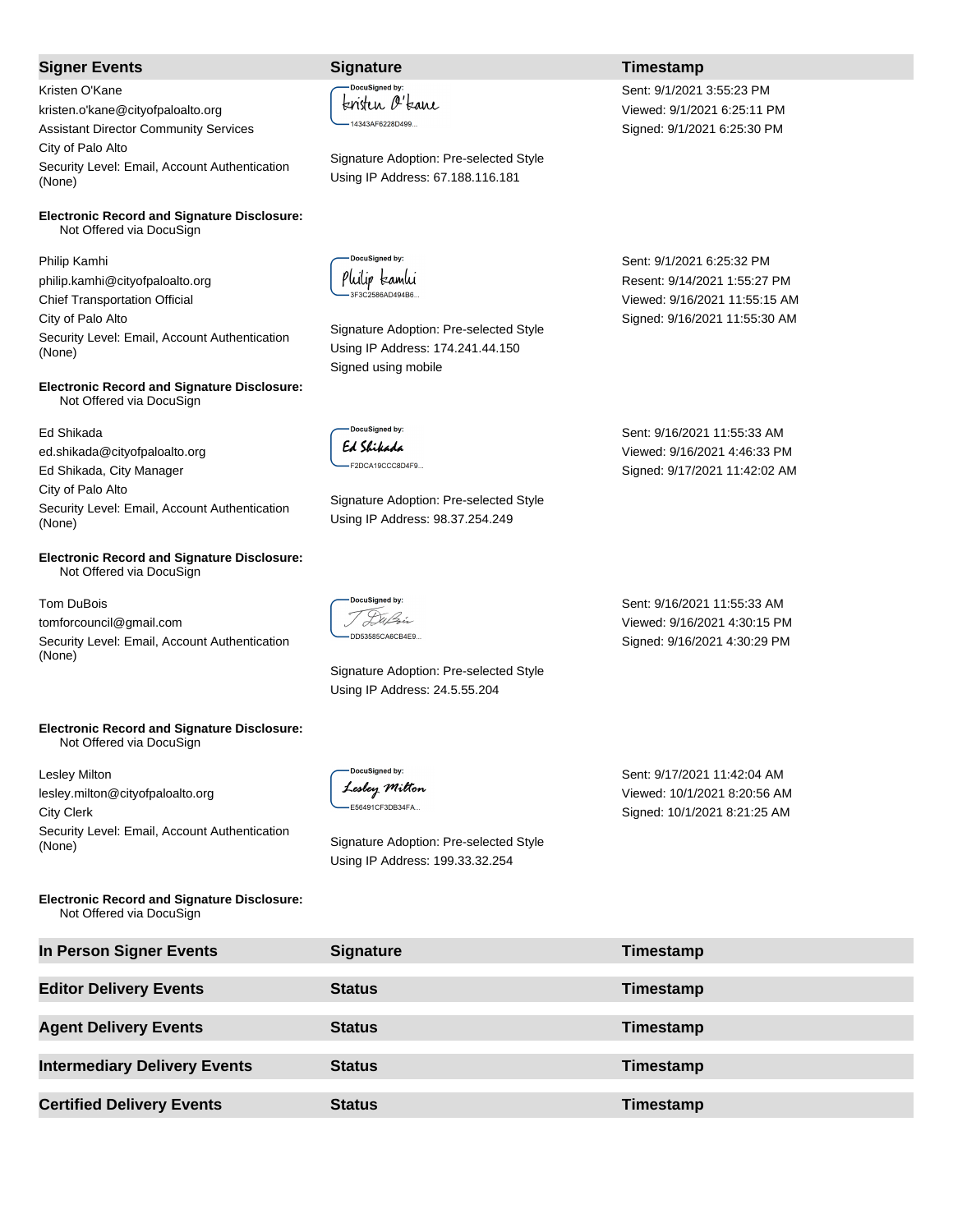## **Signer Events Signature Timestamp**

Kristen O'Kane kristen.o'kane@cityofpaloalto.org Assistant Director Community Services City of Palo Alto Security Level: Email, Account Authentication (None)

**Electronic Record and Signature Disclosure:**  Not Offered via DocuSign

Philip Kamhi philip.kamhi@cityofpaloalto.org Chief Transportation Official City of Palo Alto Security Level: Email, Account Authentication (None)

#### **Electronic Record and Signature Disclosure:**  Not Offered via DocuSign

Ed Shikada ed.shikada@cityofpaloalto.org Ed Shikada, City Manager City of Palo Alto Security Level: Email, Account Authentication (None)

#### **Electronic Record and Signature Disclosure:**  Not Offered via DocuSign

### Tom DuBois

tomforcouncil@gmail.com Security Level: Email, Account Authentication (None)

### **Electronic Record and Signature Disclosure:**  Not Offered via DocuSign

Lesley Milton lesley.milton@cityofpaloalto.org City Clerk Security Level: Email, Account Authentication (None) Signature Adoption: Pre-selected Style

**Electronic Record and Signature Disclosure:**  Not Offered via DocuSign

**DocuSianed by** kristen O'kane -14343AF6228D499...

Signature Adoption: Pre-selected Style Using IP Address: 67.188.116.181

DocuSigned by: Philip kamhi 3F3C2586AD494B6

Signature Adoption: Pre-selected Style Using IP Address: 174.241.44.150 Signed using mobile

DocuSianed by: Ed Shikada F2DCA19CCC8D4F9...

Signature Adoption: Pre-selected Style Using IP Address: 98.37.254.249

-DocuSigned by: T Dußin DD53585CA6CB4E9...

Signature Adoption: Pre-selected Style Using IP Address: 24.5.55.204

DocuSianed by: Lesley Milton -E56491CF3DB34FA...

Using IP Address: 199.33.32.254

Sent: 9/1/2021 6:25:32 PM Resent: 9/14/2021 1:55:27 PM Viewed: 9/16/2021 11:55:15 AM Signed: 9/16/2021 11:55:30 AM

Sent: 9/1/2021 3:55:23 PM Viewed: 9/1/2021 6:25:11 PM Signed: 9/1/2021 6:25:30 PM

Sent: 9/16/2021 11:55:33 AM Viewed: 9/16/2021 4:46:33 PM Signed: 9/17/2021 11:42:02 AM

Sent: 9/16/2021 11:55:33 AM Viewed: 9/16/2021 4:30:15 PM Signed: 9/16/2021 4:30:29 PM

Sent: 9/17/2021 11:42:04 AM Viewed: 10/1/2021 8:20:56 AM Signed: 10/1/2021 8:21:25 AM

| In Person Signer Events             | <b>Signature</b> | Timestamp |
|-------------------------------------|------------------|-----------|
| <b>Editor Delivery Events</b>       | <b>Status</b>    | Timestamp |
| <b>Agent Delivery Events</b>        | <b>Status</b>    | Timestamp |
| <b>Intermediary Delivery Events</b> | <b>Status</b>    | Timestamp |
| <b>Certified Delivery Events</b>    | <b>Status</b>    | Timestamp |